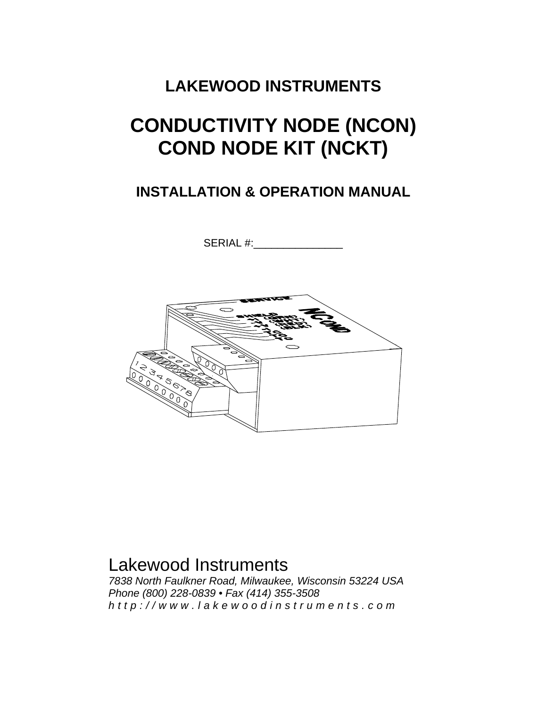### **LAKEWOOD INSTRUMENTS**

# **CONDUCTIVITY NODE (NCON) COND NODE KIT (NCKT)**

### **INSTALLATION & OPERATION MANUAL**

SERIAL #:



## Lakewood Instruments

*7838 North Faulkner Road, Milwaukee, Wisconsin 53224 USA Phone (800) 228-0839 • Fax (414) 355-3508 http://www.lakewoodinstrum ents.com*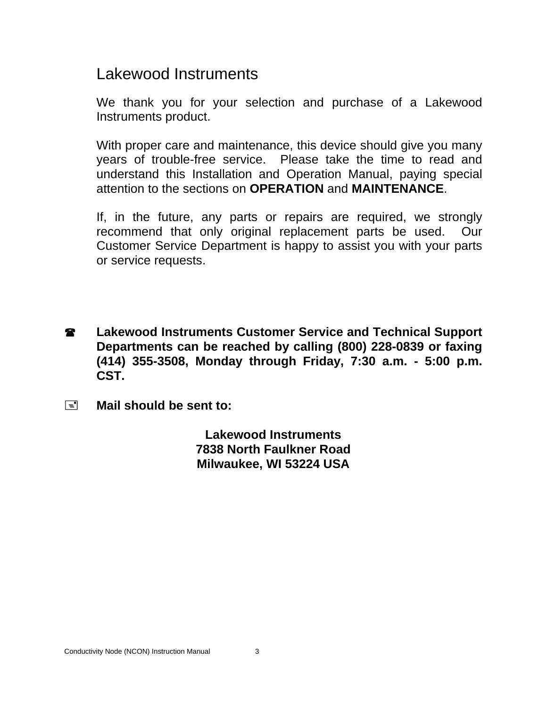### Lakewood Instruments

We thank you for your selection and purchase of a Lakewood Instruments product.

With proper care and maintenance, this device should give you many years of trouble-free service. Please take the time to read and understand this Installation and Operation Manual, paying special attention to the sections on **OPERATION** and **MAINTENANCE**.

If, in the future, any parts or repairs are required, we strongly recommend that only original replacement parts be used. Our Customer Service Department is happy to assist you with your parts or service requests.

- **2** Lakewood Instruments Customer Service and Technical Support **Departments can be reached by calling (800) 228-0839 or faxing (414) 355-3508, Monday through Friday, 7:30 a.m. - 5:00 p.m. CST.**
- **Mail should be sent to:**

**Lakewood Instruments 7838 North Faulkner Road Milwaukee, WI 53224 USA**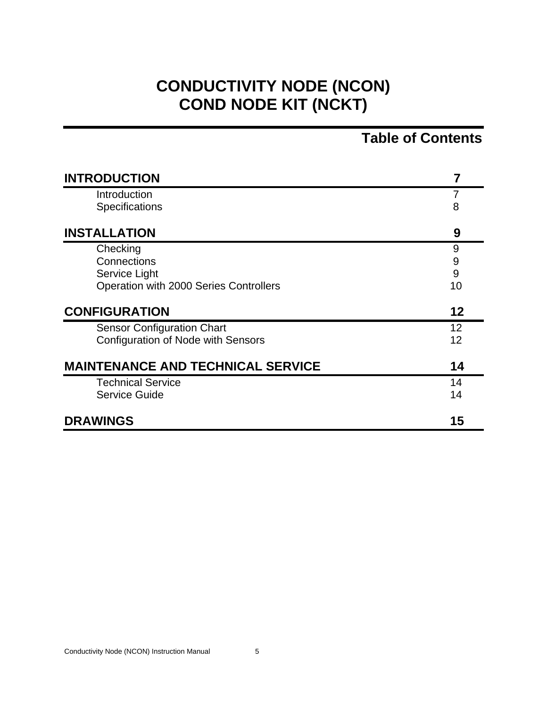## **CONDUCTIVITY NODE (NCON) COND NODE KIT (NCKT)**

### **Table of Contents**

| <b>INTRODUCTION</b>                       |    |
|-------------------------------------------|----|
| Introduction                              | 7  |
| <b>Specifications</b>                     | 8  |
| <b>INSTALLATION</b>                       | 9  |
| Checking                                  | 9  |
| Connections                               | 9  |
| Service Light                             | 9  |
| Operation with 2000 Series Controllers    | 10 |
| <b>CONFIGURATION</b>                      | 12 |
| <b>Sensor Configuration Chart</b>         | 12 |
| <b>Configuration of Node with Sensors</b> | 12 |
| <b>MAINTENANCE AND TECHNICAL SERVICE</b>  | 14 |
| <b>Technical Service</b>                  | 14 |
| <b>Service Guide</b>                      | 14 |
| <b>DRAWINGS</b>                           | 15 |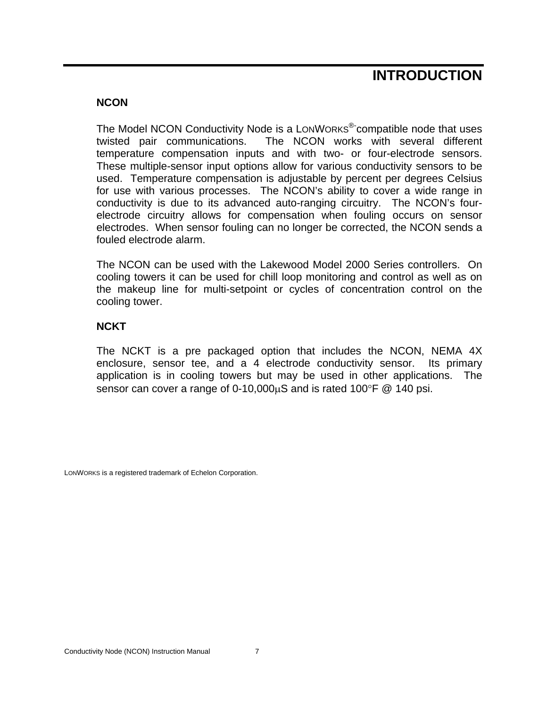### **INTRODUCTION**

#### **NCON**

The Model NCON Conductivity Node is a LONWORKS<sup>®-</sup>compatible node that uses twisted pair communications. The NCON works with several different temperature compensation inputs and with two- or four-electrode sensors. These multiple-sensor input options allow for various conductivity sensors to be used. Temperature compensation is adjustable by percent per degrees Celsius for use with various processes. The NCON's ability to cover a wide range in conductivity is due to its advanced auto-ranging circuitry. The NCON's fourelectrode circuitry allows for compensation when fouling occurs on sensor electrodes. When sensor fouling can no longer be corrected, the NCON sends a fouled electrode alarm.

The NCON can be used with the Lakewood Model 2000 Series controllers. On cooling towers it can be used for chill loop monitoring and control as well as on the makeup line for multi-setpoint or cycles of concentration control on the cooling tower.

#### **NCKT**

The NCKT is a pre packaged option that includes the NCON, NEMA 4X enclosure, sensor tee, and a 4 electrode conductivity sensor. Its primary application is in cooling towers but may be used in other applications. The sensor can cover a range of 0-10,000uS and is rated 100°F @ 140 psi.

LONWORKS is a registered trademark of Echelon Corporation.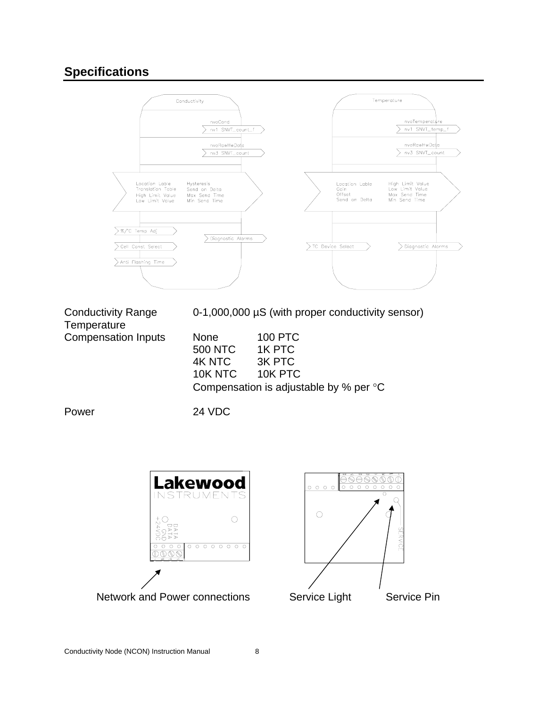### **Specifications**



**Temperature** 

Conductivity Range 0-1,000,000 µS (with proper conductivity sensor)

Compensation Inputs None 100 PTC

| n Inputs. | None    | 100 PTC                                          |
|-----------|---------|--------------------------------------------------|
|           | 500 NTC | 1K PTC                                           |
|           | 4K NTC  | 3K PTC                                           |
|           | 10K NTC | 10K PTC                                          |
|           |         | Compensation is adjustable by % per $\mathrm{C}$ |

Power 24 VDC

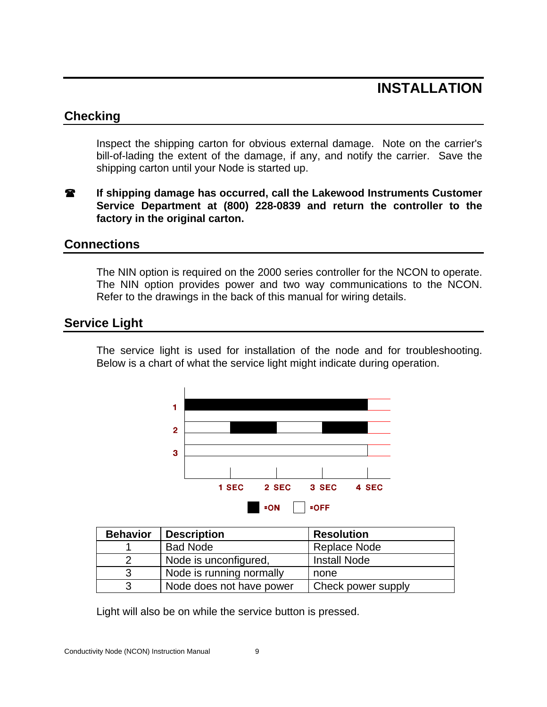### **INSTALLATION**

#### **Checking**

Inspect the shipping carton for obvious external damage. Note on the carrier's bill-of-lading the extent of the damage, if any, and notify the carrier. Save the shipping carton until your Node is started up.

**If shipping damage has occurred, call the Lakewood Instruments Customer Service Department at (800) 228-0839 and return the controller to the factory in the original carton.** 

#### **Connections**

The NIN option is required on the 2000 series controller for the NCON to operate. The NIN option provides power and two way communications to the NCON. Refer to the drawings in the back of this manual for wiring details.

#### **Service Light**

The service light is used for installation of the node and for troubleshooting. Below is a chart of what the service light might indicate during operation.



| <b>Behavior</b> | <b>Description</b>       | <b>Resolution</b>   |
|-----------------|--------------------------|---------------------|
|                 | <b>Bad Node</b>          | Replace Node        |
|                 | Node is unconfigured,    | <b>Install Node</b> |
| 3               | Node is running normally | none                |
| 3               | Node does not have power | Check power supply  |

Light will also be on while the service button is pressed.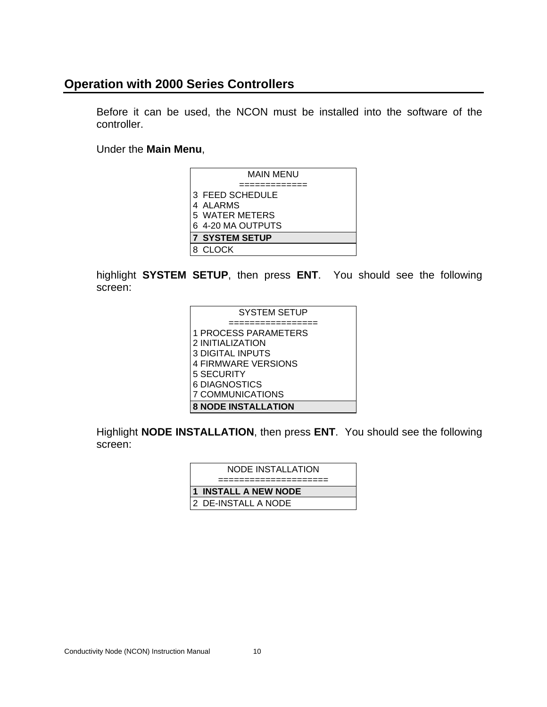### **Operation with 2000 Series Controllers**

Before it can be used, the NCON must be installed into the software of the controller.

Under the **Main Menu**,

| MAIN MENU             |
|-----------------------|
|                       |
| 3 FEED SCHEDULE       |
| 4 ALARMS              |
| 5 WATER METERS        |
| 6 4-20 MA OUTPUTS     |
| <b>7 SYSTEM SETUP</b> |
| <b>CLOCK</b>          |

highlight **SYSTEM SETUP**, then press **ENT**. You should see the following screen:

| <b>SYSTEM SETUP</b>         |
|-----------------------------|
|                             |
| <b>1 PROCESS PARAMETERS</b> |
| 2 INITIALIZATION            |
| <b>3 DIGITAL INPUTS</b>     |
| <b>4 FIRMWARE VERSIONS</b>  |
| 5 SECURITY                  |
| 6 DIAGNOSTICS               |
| 7 COMMUNICATIONS            |
| <b>8 NODE INSTALLATION</b>  |

Highlight **NODE INSTALLATION**, then press **ENT**. You should see the following screen:

| NODE INSTALLATION    |
|----------------------|
|                      |
| 1 INSTALL A NEW NODE |
| 2 DE-INSTALL A NODE  |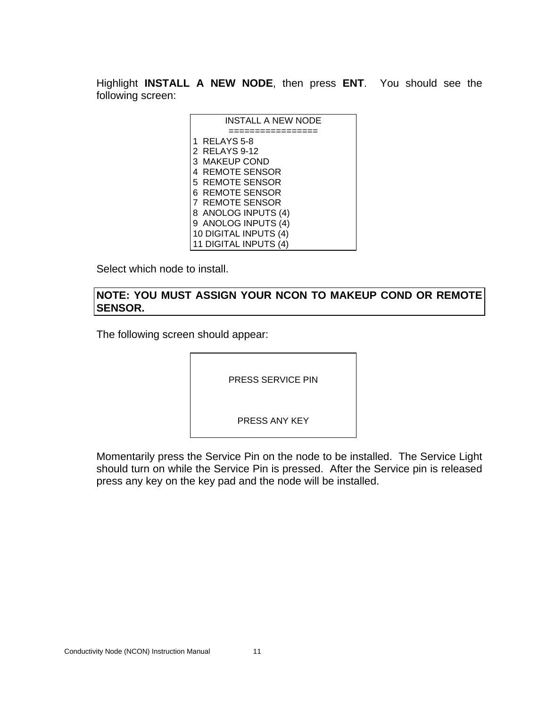Highlight **INSTALL A NEW NODE**, then press **ENT**. You should see the following screen:

| <b>INSTALL A NEW NODE</b> |
|---------------------------|
|                           |
| 1 RELAYS 5-8              |
| 2 RELAYS 9-12             |
| 3 MAKEUP COND             |
| <b>4 REMOTE SENSOR</b>    |
| 5 REMOTE SENSOR           |
| 6 REMOTE SENSOR           |
| <b>7 REMOTE SENSOR</b>    |
| 8 ANOLOG INPUTS (4)       |
| 9 ANOLOG INPUTS (4)       |
| 10 DIGITAL INPUTS (4)     |
| 11 DIGITAL INPUTS (4)     |

Select which node to install.

#### **NOTE: YOU MUST ASSIGN YOUR NCON TO MAKEUP COND OR REMOTE SENSOR.**

The following screen should appear:

PRESS SERVICE PIN

PRESS ANY KEY

Momentarily press the Service Pin on the node to be installed. The Service Light should turn on while the Service Pin is pressed. After the Service pin is released press any key on the key pad and the node will be installed.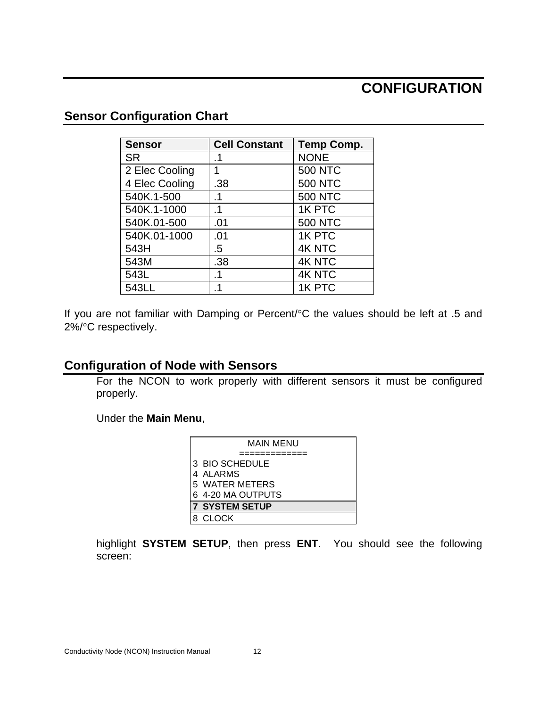### **CONFIGURATION**

### **Sensor Configuration Chart**

| <b>Sensor</b>  | <b>Cell Constant</b> | <b>Temp Comp.</b> |
|----------------|----------------------|-------------------|
| <b>SR</b>      | .1                   | <b>NONE</b>       |
| 2 Elec Cooling | 1                    | <b>500 NTC</b>    |
| 4 Elec Cooling | .38                  | <b>500 NTC</b>    |
| 540K.1-500     | .1                   | <b>500 NTC</b>    |
| 540K.1-1000    | $\cdot$ 1            | 1K PTC            |
| 540K.01-500    | .01                  | <b>500 NTC</b>    |
| 540K.01-1000   | .01                  | 1K PTC            |
| 543H           | .5                   | <b>4K NTC</b>     |
| 543M           | .38                  | <b>4K NTC</b>     |
| 543L           | .1                   | <b>4K NTC</b>     |
| 543LL          |                      | 1K PTC            |

If you are not familiar with Damping or Percent/°C the values should be left at .5 and 2%/°C respectively.

### **Configuration of Node with Sensors**

For the NCON to work properly with different sensors it must be configured properly.

Under the **Main Menu**,

| MAIN MENU             |
|-----------------------|
|                       |
| 3 BIO SCHEDULE        |
| 4 ALARMS              |
| 5 WATER METERS        |
| 6 4-20 MA OUTPUTS     |
| <b>7 SYSTEM SETUP</b> |
| 8 CLOCK               |

highlight **SYSTEM SETUP**, then press **ENT**. You should see the following screen: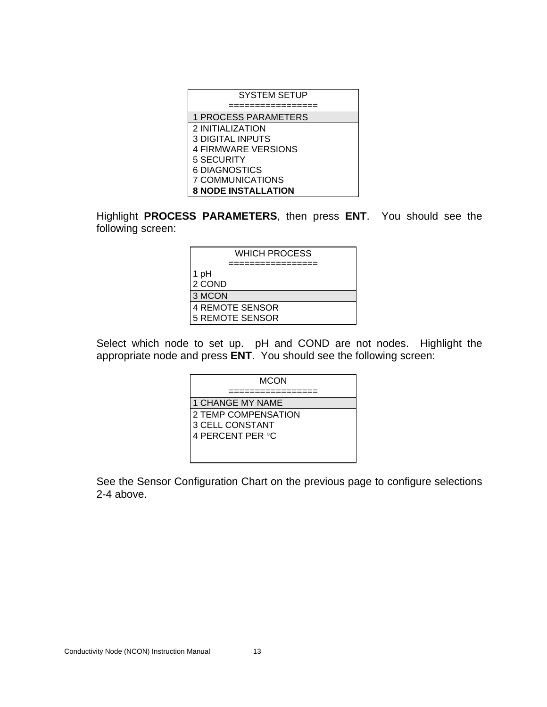| <b>SYSTEM SETUP</b>        |
|----------------------------|
|                            |
| 1 PROCESS PARAMETERS       |
| 2 INITIALIZATION           |
| <b>3 DIGITAL INPUTS</b>    |
| <b>4 FIRMWARE VERSIONS</b> |
| 5 SECURITY                 |
| 6 DIAGNOSTICS              |
| 7 COMMUNICATIONS           |
| <b>8 NODE INSTALLATION</b> |

Highlight **PROCESS PARAMETERS**, then press **ENT**. You should see the following screen:

| WHICH PROCESS          |
|------------------------|
|                        |
| 1 pH                   |
| 2 COND                 |
| 3 MCON                 |
| <b>4 REMOTE SENSOR</b> |
| <b>5 REMOTE SENSOR</b> |

Select which node to set up. pH and COND are not nodes. Highlight the appropriate node and press **ENT**. You should see the following screen:

| <b>MCON</b>             |
|-------------------------|
|                         |
| <b>1 CHANGE MY NAME</b> |
| 2 TEMP COMPENSATION     |
| 3 CELL CONSTANT         |
| 4 PERCENT PER °C        |
|                         |
|                         |

See the Sensor Configuration Chart on the previous page to configure selections 2-4 above.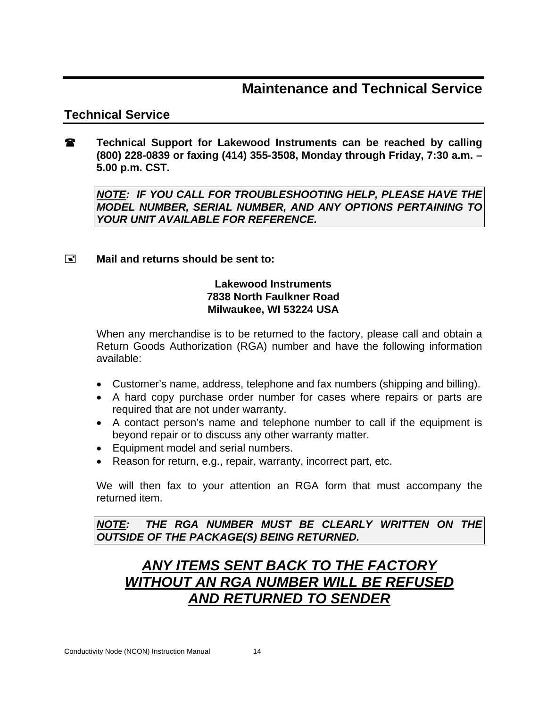### **Maintenance and Technical Service**

### **Technical Service**

**Technical Support for Lakewood Instruments can be reached by calling (800) 228-0839 or faxing (414) 355-3508, Monday through Friday, 7:30 a.m. – 5.00 p.m. CST.** 

*NOTE: IF YOU CALL FOR TROUBLESHOOTING HELP, PLEASE HAVE THE MODEL NUMBER, SERIAL NUMBER, AND ANY OPTIONS PERTAINING TO YOUR UNIT AVAILABLE FOR REFERENCE.* 

#### **Mail and returns should be sent to:**

#### **Lakewood Instruments 7838 North Faulkner Road Milwaukee, WI 53224 USA**

When any merchandise is to be returned to the factory, please call and obtain a Return Goods Authorization (RGA) number and have the following information available:

- Customer's name, address, telephone and fax numbers (shipping and billing).
- A hard copy purchase order number for cases where repairs or parts are required that are not under warranty.
- A contact person's name and telephone number to call if the equipment is beyond repair or to discuss any other warranty matter.
- Equipment model and serial numbers.
- Reason for return, e.g., repair, warranty, incorrect part, etc.

We will then fax to your attention an RGA form that must accompany the returned item.

*NOTE: THE RGA NUMBER MUST BE CLEARLY WRITTEN ON THE OUTSIDE OF THE PACKAGE(S) BEING RETURNED.* 

### *ANY ITEMS SENT BACK TO THE FACTORY WITHOUT AN RGA NUMBER WILL BE REFUSED AND RETURNED TO SENDER*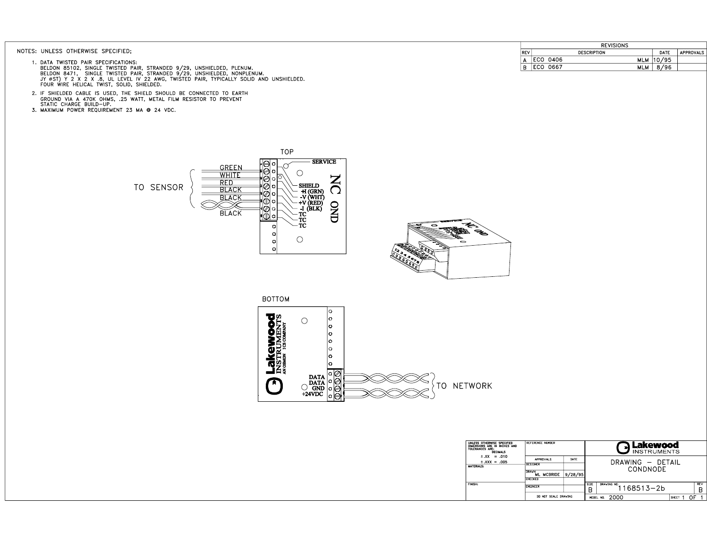#### NOTES: UNLESS OTHERWISE SPECIFIED;

- 1. DATA TWISTED PAIR SPECIFICATIONS:<br>BELDON 85102, SINGLE TWISTED PAIR, STRANDED 9/29, UNSHIELDED, PLENUM.<br>BELDON 8471, SINGLE TWISTED PAIR, STRANDED 9/29, UNSHIELDED, NONPLENUM.<br>JY 0ST) Y 2 X 2 X .8, UL LEVEL IV 22 AWG, T
- 2. IF SHIELDED CABLE IS USED, THE SHIELD SHOULD BE CONNECTED TO EARTH<br>GROUND VIA A 470K OHMS, .25 WATT, METAL FILM RESISTOR TO PREVENT<br>STATIC CHARGE BUILD-UP.
- 3. MAXIMUM POWER REQUIREMENT 23 MA @ 24 VDC.

|            | <b>REVISIONS</b>       |       |                  |  |  |  |  |
|------------|------------------------|-------|------------------|--|--|--|--|
| <b>REV</b> | <b>DESCRIPTION</b>     | DATE  | <b>APPROVALS</b> |  |  |  |  |
| А          | ECO 0406<br><b>MLM</b> | 10/95 |                  |  |  |  |  |
| B          | 0667<br>ECO<br>MLM     | 8/96  |                  |  |  |  |  |



| UNLESS OTHERWISE SPECIFIED<br>DIMENSIONS ARE IN INCHES AND<br>TOLERANCES ARE:<br><b>DECIMALS</b> | REFERENCE NUMBER                               |         | . Lakewood<br><b>INSTRUMENTS</b> |             |                  |       |            |
|--------------------------------------------------------------------------------------------------|------------------------------------------------|---------|----------------------------------|-------------|------------------|-------|------------|
| $\pm$ .XX<br>$=.010$<br>$\pm$ .XXX = .005                                                        | <b>APPROVALS</b>                               | DATE    |                                  |             | DRAWING - DETAIL |       |            |
| <b>MATERIALS:</b>                                                                                | <b>DESIGNER</b>                                |         |                                  |             | CONDNODE         |       |            |
|                                                                                                  | <b>DRAVN</b><br><b>MCBRIDE</b><br>м<br>CHECKED | 9/28/95 |                                  |             |                  |       |            |
| <b>FINISH:</b>                                                                                   |                                                |         | SIZE                             | DRAVING NO. |                  |       | <b>REV</b> |
|                                                                                                  | <b>ENGINEER</b>                                |         | B                                |             | 1168513-2b       |       | B          |
|                                                                                                  | SCALE DRAVING<br>DO NOT                        |         | MODEL NO.                        | 2000        |                  | SHEET |            |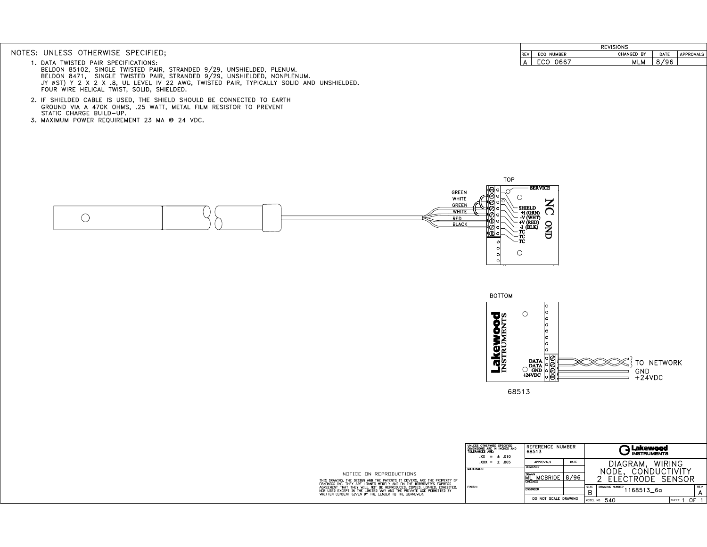#### NOTES: UNLESS OTHERWISE SPECIFIED;

- 1. DATA TWISTED PAIR SPECIFICATIONS:<br>BELDON 85102, SINGLE TWISTED PAIR, STRANDED 9/29, UNSHIELDED, PLENUM.<br>BELDON 8471, SINGLE TWISTED PAIR, STRANDED 9/29, UNSHIELDED, NONPLENUM.<br>JY 0ST) Y 2 X 2 X .8, UL LEVEL IV 22 AWG, T FOUR WIRE HELICAL TWIST, SOLID, SHIELDED.
- 2. IF SHIELDED CABLE IS USED, THE SHIELD SHOULD BE CONNECTED TO EARTH CROUND VIA A 470K OHMS, .25 WATT, METAL FILM RESISTOR TO PREVENT<br>STATIC CHARGE BUILD-UP. .25 WATT, METAL FILM RESISTOR TO PREVENT
- 3. MAXIMUM POWER REQUIREMENT 23 MA @ 24 VDC.

| <b>REVISIONS</b> |                   |            |      |           |  |
|------------------|-------------------|------------|------|-----------|--|
| REV              | <b>ECO NUMBER</b> | CHANGED BY | DATE | APPROVALS |  |
|                  |                   | ML<br>LM   |      |           |  |





|                                                                                                                                                                                                       | UNLESS OTHERWISE SPECIFIED<br>DIMENSIONS ARE IN INCHES AND<br>TOLERANCES ARE:<br>$XX = \pm .010$ | REFERENCE NUMBER<br>68513                         | Lakewood<br><b>INSTRUMENTS</b>                                |  |  |  |
|-------------------------------------------------------------------------------------------------------------------------------------------------------------------------------------------------------|--------------------------------------------------------------------------------------------------|---------------------------------------------------|---------------------------------------------------------------|--|--|--|
|                                                                                                                                                                                                       | $XXX = \pm .005$                                                                                 | DATE<br><b>APPROVALS</b>                          | WIRING<br>DIAGRAM.                                            |  |  |  |
|                                                                                                                                                                                                       | <b>MATERIALS:</b>                                                                                | <b>DESIGNER</b>                                   | <b>CONDUCTIVITY</b><br>NODE.                                  |  |  |  |
| NOTICE ON REPRODUCTIONS<br>THIS DRAWING, THE DESIGN AND THE PATENTS IT COVERS, ARE THE PROPERTY OF<br>DSMONICS INC. THEY ARE LOANED MERELY AND ON THE BORROWER'S EXPRESS                              |                                                                                                  | <b>DRAVN</b><br>8/96<br><b>MCBRIDE</b><br>CHECKED | FCTRODE<br><b>SENSOR</b>                                      |  |  |  |
| AGREEMENT THAT THEY WILL NOT BE REPRODUCED, COPIED, LOANED, EXHIBITED,<br>NOR USED EXCEPT IN THE LIMITED WAY AND THE PRIVATE USE PERMITTED BY<br>WRITTEN CONSENT GIVEN BY THE LENDER TO THE BORROWER. | <b>FINISH:</b>                                                                                   | <b>ENGINEER</b>                                   | <b>REV</b><br>SIZE<br>DRAVING NUMBER<br>l 168513_6a<br>В<br>А |  |  |  |
|                                                                                                                                                                                                       |                                                                                                  | DO NOT SCALE DRAWING                              | 0F<br>MODEL NO. 540<br>SHEET                                  |  |  |  |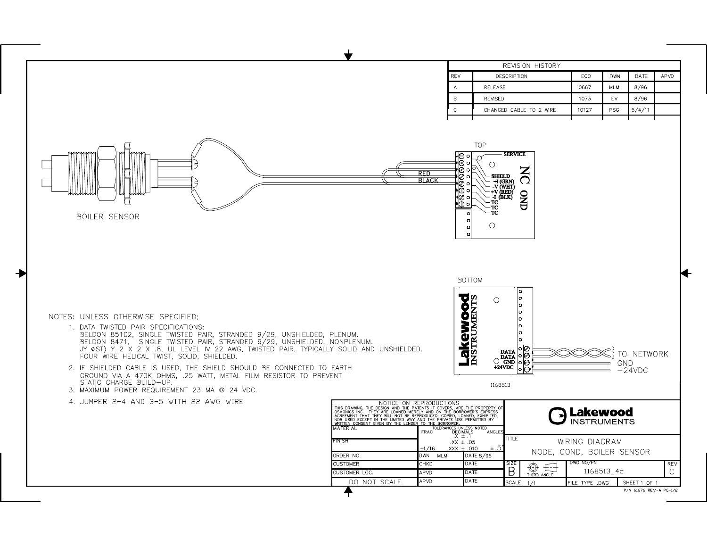|                                                                                                                                                                                                                                                                                                                                                                                                                                                                                                                                                                                                |                                                                                                                                                                                                                                                                             |                                                                                                                                         | REVISION HISTORY                                                                                                                                                                                                                                            |                                             |                                |                        |      |
|------------------------------------------------------------------------------------------------------------------------------------------------------------------------------------------------------------------------------------------------------------------------------------------------------------------------------------------------------------------------------------------------------------------------------------------------------------------------------------------------------------------------------------------------------------------------------------------------|-----------------------------------------------------------------------------------------------------------------------------------------------------------------------------------------------------------------------------------------------------------------------------|-----------------------------------------------------------------------------------------------------------------------------------------|-------------------------------------------------------------------------------------------------------------------------------------------------------------------------------------------------------------------------------------------------------------|---------------------------------------------|--------------------------------|------------------------|------|
|                                                                                                                                                                                                                                                                                                                                                                                                                                                                                                                                                                                                |                                                                                                                                                                                                                                                                             | <b>REV</b>                                                                                                                              | DESCRIPTION                                                                                                                                                                                                                                                 | ECO                                         | <b>DWN</b>                     | DATE                   | APVD |
|                                                                                                                                                                                                                                                                                                                                                                                                                                                                                                                                                                                                |                                                                                                                                                                                                                                                                             | $\overline{A}$                                                                                                                          | <b>RELEASE</b>                                                                                                                                                                                                                                              | 0667                                        | <b>MLM</b>                     | 8/96                   |      |
|                                                                                                                                                                                                                                                                                                                                                                                                                                                                                                                                                                                                |                                                                                                                                                                                                                                                                             | B                                                                                                                                       | REVISED                                                                                                                                                                                                                                                     | 1073                                        | EV                             | 8/96                   |      |
|                                                                                                                                                                                                                                                                                                                                                                                                                                                                                                                                                                                                |                                                                                                                                                                                                                                                                             | $\,$ C                                                                                                                                  | CHANGED CABLE TO 2 WIRE                                                                                                                                                                                                                                     | 10127                                       | PSG                            | 5/4/11                 |      |
| <b>BOILER SENSOR</b>                                                                                                                                                                                                                                                                                                                                                                                                                                                                                                                                                                           |                                                                                                                                                                                                                                                                             | ∘ا⊖ا∙<br>k⊜l∘<br>' ⊘∣∘<br><b>RED</b><br>∙l⊘lo<br><b>BLACK</b><br>ø۱<br>∘⊚י<br>ס∥<br>∙l1D∣o<br>$\Omega$<br>$\circ$<br>$\circ$<br>$\circ$ | TOP<br><b>SERVICE</b><br>O,<br>O<br>$\mathbf{Z}$<br><b>SHIELD</b><br>$\Omega$<br>- +1 (GRN)<br>- -V (WHT)<br>- +V (RED)<br><b>QND</b><br>- I (BLK)<br>- TC`<br>- TC<br>- TC<br>$\circ$                                                                      |                                             |                                |                        |      |
| NOTES: UNLESS OTHERWISE SPECIFIED;<br>1. DATA TWISTED PAIR SPECIFICATIONS:<br>SELDON 85102, SINGLE TWISTED PAIR, STRANDED 9/29, UNSHIELDED, PLENUM.<br>SELDON 8471, SINGLE TWISTED PAIR, STRANDED 9/29, UNSHIELDED, NONPLENUM.<br>JY ØST) Y 2 X 2 X .8, UL LEVEL IV 22 AWG, TWISTED PAIR, TYPICALLY SOLID AND UNSHIELDED.<br>FOUR WIRE HELICAL TWIST, SOLID, SHIELDED.<br>2. IF SHIELDED CABLE IS USED, THE SHIELD SHOULD BE CONNECTED TO EARTH<br>GROUND VIA A 470K OHMS, .25 WATT, METAL FILM RESISTOR TO PREVENT<br>STATIC CHARGE BUILD-UP.<br>3. MAXIMUM POWER REQUIREMENT 23 MA @ 24 VDC. |                                                                                                                                                                                                                                                                             | <b>Lakewood</b>                                                                                                                         | <b>BOTTOM</b><br>$\circ$<br>lo<br>lo<br>lo<br>lo.<br>lo<br>∘⊘<br><b>DATA</b><br>$\left[\begin{array}{c c}\n\texttt{DATA} & \circ & \circ \\ \texttt{O} & \circ & \circ \\ \texttt{GND} & \circ & \circ\n\end{array}\right]$<br>$+24$ VDC<br>l∘l⊖<br>1168513 |                                             | GND                            | TO NETWORK<br>$+24VDC$ |      |
| 4. JUMPER 2-4 AND 3-5 WITH 22 AWG WIRE                                                                                                                                                                                                                                                                                                                                                                                                                                                                                                                                                         | NOTICE ON REPRODUCTIONS<br>OSMONICS INC. THEY ARE LOANED MERIENTS IT COVERS, ARE THE PROPERTY OF<br>AGREEMENT THAT THEY ARE LOANED MERELY AND ON THE BORROWER'S EXPRESS<br>AGREEMENT THAT THE THE LINITED WAN THE PROPIED LOANED, EXHIB<br>IMATERIAL<br>FINISH<br>ORDER NO. | FOLERANCES UNLESS NOTED<br>DECIMALS<br>X ± .1<br><b>FRAC</b><br>$.XX \pm .05$<br>±1/16<br>$XXX \pm .010$<br><b>DWN</b><br>MLM           | ANGLE:<br>TITLE.<br>$\pm .5$<br>DATE 8/96                                                                                                                                                                                                                   | WIRING DIAGRAM<br>NODE, COND, BOILER SENSOR | Lakewood<br><b>INSTRUMENTS</b> |                        |      |
|                                                                                                                                                                                                                                                                                                                                                                                                                                                                                                                                                                                                | <b>CUSTOMER</b>                                                                                                                                                                                                                                                             | CHKD                                                                                                                                    | DATE<br>SIZE<br>⊕<br>€₫                                                                                                                                                                                                                                     | DWG NO/PN                                   |                                |                        | REV  |
|                                                                                                                                                                                                                                                                                                                                                                                                                                                                                                                                                                                                | <b>CUSTOMER LOC.</b>                                                                                                                                                                                                                                                        | <b>APVD</b>                                                                                                                             | B<br>DATE<br>THIRD ANGLE                                                                                                                                                                                                                                    |                                             | 1168513_4c                     |                        | C.   |
|                                                                                                                                                                                                                                                                                                                                                                                                                                                                                                                                                                                                | DO NOT SCALE                                                                                                                                                                                                                                                                | <b>APVD</b>                                                                                                                             | DATE<br><b>SCALE</b><br>1/1                                                                                                                                                                                                                                 | FILE TYPE .DWG                              |                                | SHEET 1 OF 1           |      |

 $\mathbf{r}$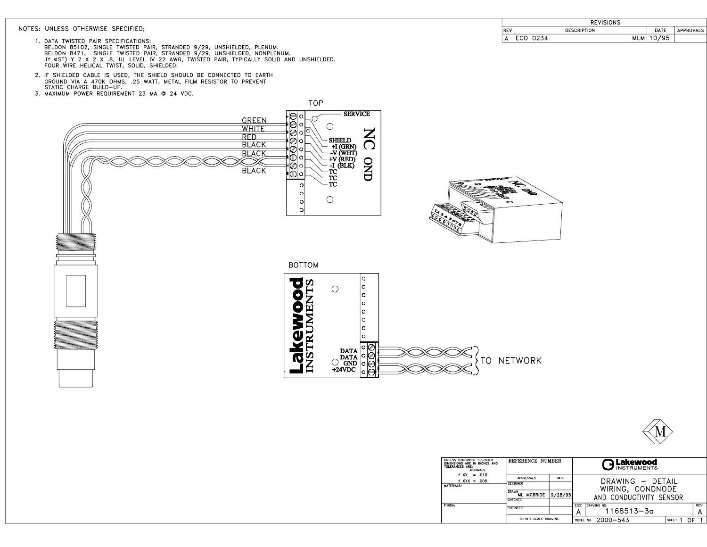#### NOTES: UNLESS OTHERWISE SPECIFIED;

|          | <b>REVISIONS</b>   |      |                  |
|----------|--------------------|------|------------------|
| DE)<br>. | <b>DESCRIPTION</b> | DATE | <b>APPROVALS</b> |
|          | <b>MLM</b><br>0234 |      |                  |

- 1. DATA TWISTED PAIR SPECIFICATIONS:<br>BELDON 85102, SINGLE TWISTED PAIR, STRANDED 9/29, UNSHIELDED, PLENUM.<br>BELDON 8471, SINGLE TWISTED PAIR, STRANDED 9/29, UNSHIELDED, NONPLENUM.<br>JY 0ST) Y 2 X 2 X.B, UL LEVEL IV 22 AWG, TW
- 2. IF SHIELDED CABLE IS USED, THE SHIELD SHOULD BE CONNECTED TO EARTH<br>GROUND VIA A 470K OHMS, .25 WATT, METAL FILM RESISTOR TO PREVENT<br>STATIC CHARGE BUILD-UP.
- 3. MAXIMUM POWER REQUIREMENT 23 MA @ 24 VDC.





| UNLESS OTHERWISE SPECIFIED<br>REFERENCE NUMBER<br>DIMENSIONS ARE IN INCHES AND<br>TOLERANCES ARE:<br><b>DECIMALS</b> |                                                  |      | つLakewood<br><b>INSTRUMENTS</b>                      |  |  |  |
|----------------------------------------------------------------------------------------------------------------------|--------------------------------------------------|------|------------------------------------------------------|--|--|--|
| $\pm$ XX = .010<br>$\pm$ .XXX = .005                                                                                 | APPRIVALS                                        | DATE | DRAWING - DFTAIL                                     |  |  |  |
| MATERIALS:                                                                                                           | <b>DESIGNER</b>                                  |      | WIRING, CONDNODE                                     |  |  |  |
|                                                                                                                      | <b>DRAVN</b><br>9/28/95<br>ML MCBRIDE<br>CHECKED |      | AND CONDUCTIVITY SENSOR                              |  |  |  |
| <b>FINISH:</b>                                                                                                       | <b>FNGINFFR</b>                                  |      | <b>REV</b><br>SIZE<br>DRAVING NO.<br>1168513-3a<br>А |  |  |  |
|                                                                                                                      | DO NOT SCALE DRAVING                             |      | $2000 - 543$<br>ገF<br>SHEET<br>MODEL NO.             |  |  |  |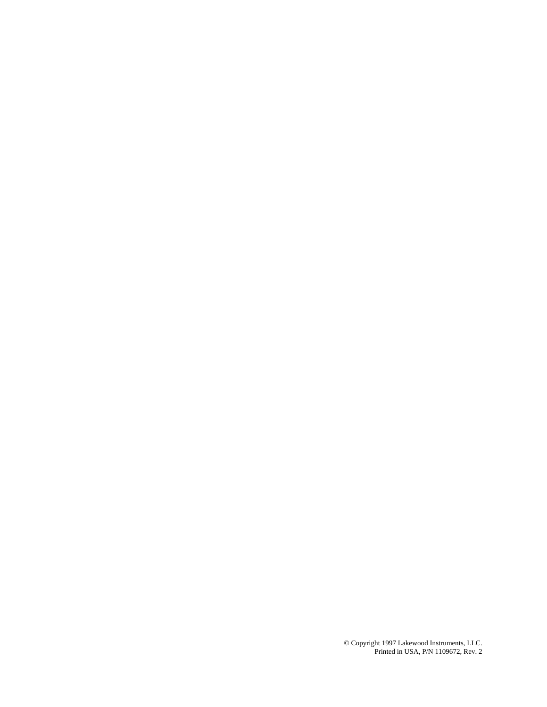© Copyright 1997 Lakewood Instruments, LLC. Printed in USA, P/N 1109672, Rev. 2